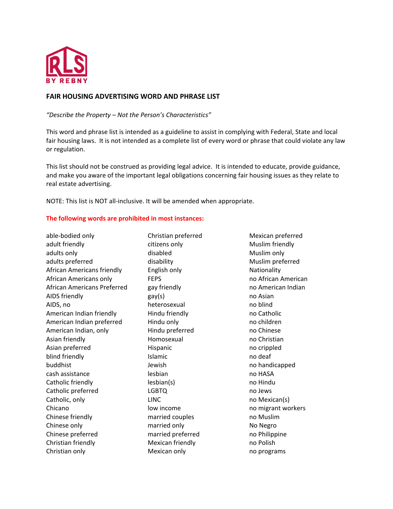

## **FAIR HOUSING ADVERTISING WORD AND PHRASE LIST**

*"Describe the Property – Not the Person's Characteristics"*

This word and phrase list is intended as a guideline to assist in complying with Federal, State and local fair housing laws. It is not intended as a complete list of every word or phrase that could violate any law or regulation.

This list should not be construed as providing legal advice. It is intended to educate, provide guidance, and make you aware of the important legal obligations concerning fair housing issues as they relate to real estate advertising.

NOTE: This list is NOT all-inclusive. It will be amended when appropriate.

## **The following words are prohibited in most instances:**

able-bodied only adult friendly adults only adults preferred African Americans friendly African Americans only African Americans Preferred AIDS friendly AIDS, no American Indian friendly American Indian preferred American Indian, only Asian friendly Asian preferred blind friendly buddhist cash assistance Catholic friendly Catholic preferred Catholic, only Chicano Chinese friendly Chinese only Chinese preferred Christian friendly Christian only

Christian preferred citizens only disabled disability English only **FEPS** gay friendly gay(s) heterosexual Hindu friendly Hindu only Hindu preferred Homosexual Hispanic Islamic Jewish lesbian lesbian(s) LGBTQ LINC low income married couples married only married preferred Mexican friendly Mexican only

Mexican preferred Muslim friendly Muslim only Muslim preferred Nationality no African American no American Indian no Asian no blind no Catholic no children no Chinese no Christian no crippled no deaf no handicapped no HASA no Hindu no Jews no Mexican(s) no migrant workers no Muslim No Negro no Philippine no Polish no programs